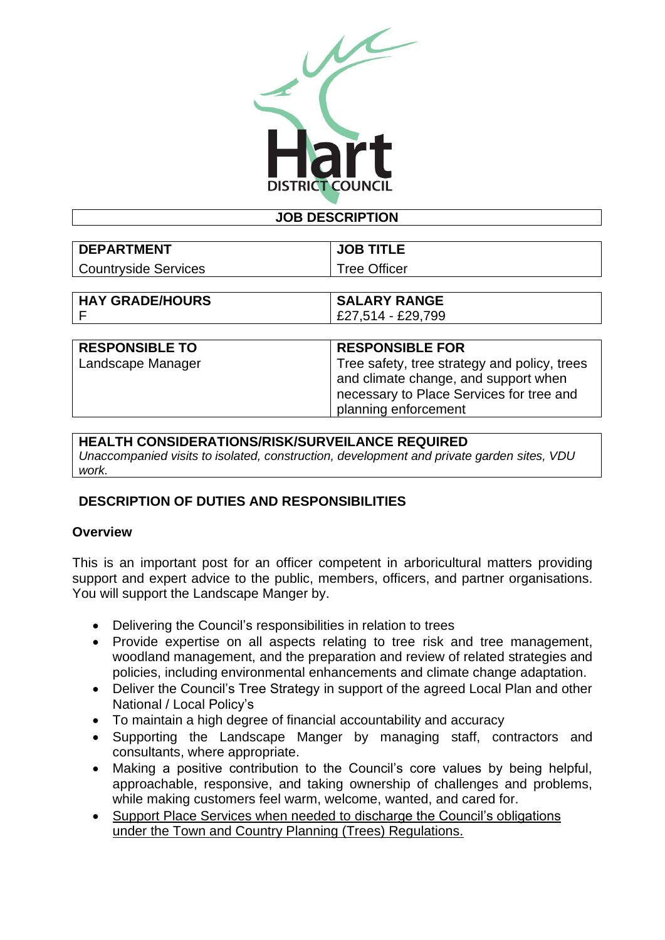

#### **JOB DESCRIPTION**

| <b>DEPARTMENT</b>    | <b>JOB TITLE</b>    |
|----------------------|---------------------|
| Countryside Services | <b>Tree Officer</b> |
|                      |                     |

| <b>HAY GRADE/HOURS</b> | <b>SALARY RANGE</b>                          |
|------------------------|----------------------------------------------|
|                        | £27,514 - £29,799                            |
|                        |                                              |
| <b>RESPONSIBLE TO</b>  | <b>RESPONSIBLE FOR</b>                       |
| I Landscape Manager    | Tree safety, tree strategy and policy, trees |

| and climate change, and support when     |
|------------------------------------------|
| necessary to Place Services for tree and |
| planning enforcement                     |
|                                          |

#### **HEALTH CONSIDERATIONS/RISK/SURVEILANCE REQUIRED**

*Unaccompanied visits to isolated, construction, development and private garden sites, VDU work.*

# **DESCRIPTION OF DUTIES AND RESPONSIBILITIES**

#### **Overview**

This is an important post for an officer competent in arboricultural matters providing support and expert advice to the public, members, officers, and partner organisations. You will support the Landscape Manger by.

- Delivering the Council's responsibilities in relation to trees
- Provide expertise on all aspects relating to tree risk and tree management, woodland management, and the preparation and review of related strategies and policies, including environmental enhancements and climate change adaptation.
- Deliver the Council's Tree Strategy in support of the agreed Local Plan and other National / Local Policy's
- To maintain a high degree of financial accountability and accuracy
- Supporting the Landscape Manger by managing staff, contractors and consultants, where appropriate.
- Making a positive contribution to the Council's core values by being helpful, approachable, responsive, and taking ownership of challenges and problems, while making customers feel warm, welcome, wanted, and cared for.
- Support Place Services when needed to discharge the Council's obligations under the Town and Country Planning (Trees) Regulations.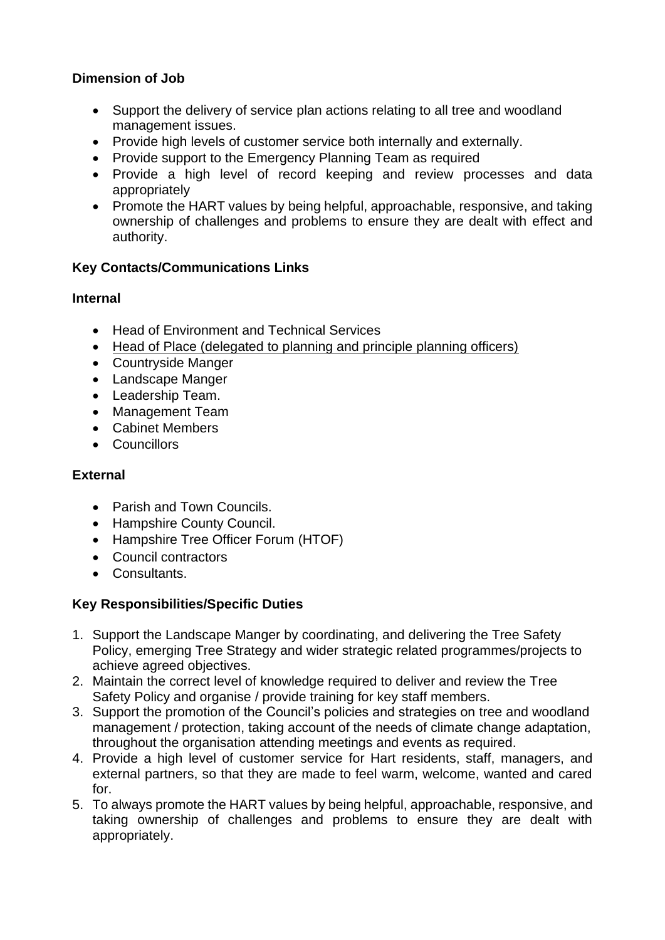# **Dimension of Job**

- Support the delivery of service plan actions relating to all tree and woodland management issues.
- Provide high levels of customer service both internally and externally.
- Provide support to the Emergency Planning Team as required
- Provide a high level of record keeping and review processes and data appropriately
- Promote the HART values by being helpful, approachable, responsive, and taking ownership of challenges and problems to ensure they are dealt with effect and authority.

# **Key Contacts/Communications Links**

# **Internal**

- Head of Environment and Technical Services
- Head of Place (delegated to planning and principle planning officers)
- Countryside Manger
- Landscape Manger
- Leadership Team.
- Management Team
- Cabinet Members
- Councillors

# **External**

- Parish and Town Councils.
- Hampshire County Council.
- Hampshire Tree Officer Forum (HTOF)
- Council contractors
- Consultants.

# **Key Responsibilities/Specific Duties**

- 1. Support the Landscape Manger by coordinating, and delivering the Tree Safety Policy, emerging Tree Strategy and wider strategic related programmes/projects to achieve agreed objectives.
- 2. Maintain the correct level of knowledge required to deliver and review the Tree Safety Policy and organise / provide training for key staff members.
- 3. Support the promotion of the Council's policies and strategies on tree and woodland management / protection, taking account of the needs of climate change adaptation, throughout the organisation attending meetings and events as required.
- 4. Provide a high level of customer service for Hart residents, staff, managers, and external partners, so that they are made to feel warm, welcome, wanted and cared for.
- 5. To always promote the HART values by being helpful, approachable, responsive, and taking ownership of challenges and problems to ensure they are dealt with appropriately.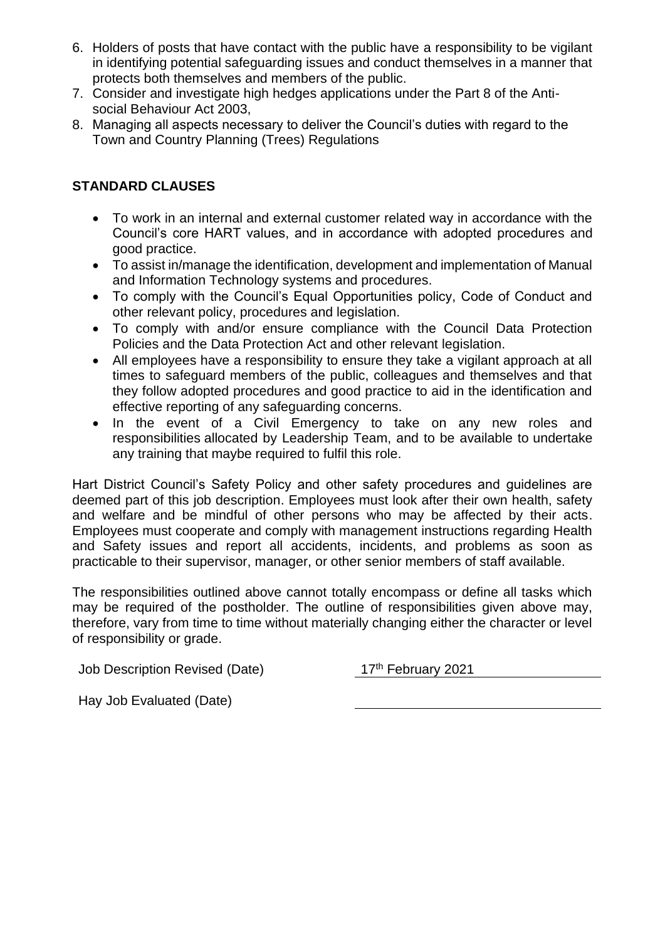- 6. Holders of posts that have contact with the public have a responsibility to be vigilant in identifying potential safeguarding issues and conduct themselves in a manner that protects both themselves and members of the public.
- 7. Consider and investigate high hedges applications under the Part 8 of the Antisocial Behaviour Act 2003,
- 8. Managing all aspects necessary to deliver the Council's duties with regard to the Town and Country Planning (Trees) Regulations

# **STANDARD CLAUSES**

- To work in an internal and external customer related way in accordance with the Council's core HART values, and in accordance with adopted procedures and good practice.
- To assist in/manage the identification, development and implementation of Manual and Information Technology systems and procedures.
- To comply with the Council's Equal Opportunities policy, Code of Conduct and other relevant policy, procedures and legislation.
- To comply with and/or ensure compliance with the Council Data Protection Policies and the Data Protection Act and other relevant legislation.
- All employees have a responsibility to ensure they take a vigilant approach at all times to safeguard members of the public, colleagues and themselves and that they follow adopted procedures and good practice to aid in the identification and effective reporting of any safeguarding concerns.
- In the event of a Civil Emergency to take on any new roles and responsibilities allocated by Leadership Team, and to be available to undertake any training that maybe required to fulfil this role.

Hart District Council's Safety Policy and other safety procedures and guidelines are deemed part of this job description. Employees must look after their own health, safety and welfare and be mindful of other persons who may be affected by their acts. Employees must cooperate and comply with management instructions regarding Health and Safety issues and report all accidents, incidents, and problems as soon as practicable to their supervisor, manager, or other senior members of staff available.

The responsibilities outlined above cannot totally encompass or define all tasks which may be required of the postholder. The outline of responsibilities given above may, therefore, vary from time to time without materially changing either the character or level of responsibility or grade.

Job Description Revised (Date) 17<sup>th</sup> February 2021

Hay Job Evaluated (Date)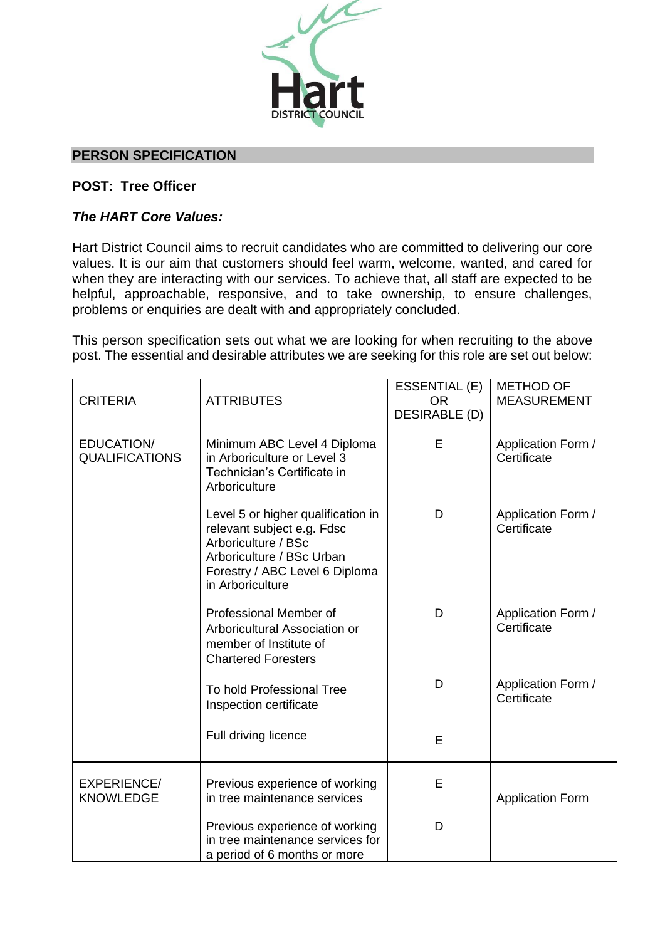

### **PERSON SPECIFICATION**

### **POST: Tree Officer**

### *The HART Core Values:*

Hart District Council aims to recruit candidates who are committed to delivering our core values. It is our aim that customers should feel warm, welcome, wanted, and cared for when they are interacting with our services. To achieve that, all staff are expected to be helpful, approachable, responsive, and to take ownership, to ensure challenges, problems or enquiries are dealt with and appropriately concluded.

This person specification sets out what we are looking for when recruiting to the above post. The essential and desirable attributes we are seeking for this role are set out below:

| <b>CRITERIA</b>                        | <b>ATTRIBUTES</b>                                                                                                                                                          | ESSENTIAL (E)<br><b>OR</b><br><b>DESIRABLE (D)</b> | <b>METHOD OF</b><br><b>MEASUREMENT</b> |
|----------------------------------------|----------------------------------------------------------------------------------------------------------------------------------------------------------------------------|----------------------------------------------------|----------------------------------------|
| EDUCATION/<br><b>QUALIFICATIONS</b>    | Minimum ABC Level 4 Diploma<br>in Arboriculture or Level 3<br>Technician's Certificate in<br>Arboriculture                                                                 | E                                                  | Application Form /<br>Certificate      |
|                                        | Level 5 or higher qualification in<br>relevant subject e.g. Fdsc<br>Arboriculture / BSc<br>Arboriculture / BSc Urban<br>Forestry / ABC Level 6 Diploma<br>in Arboriculture | D                                                  | Application Form /<br>Certificate      |
|                                        | Professional Member of<br>Arboricultural Association or<br>member of Institute of<br><b>Chartered Foresters</b>                                                            | D                                                  | Application Form /<br>Certificate      |
|                                        | To hold Professional Tree<br>Inspection certificate                                                                                                                        | D                                                  | Application Form /<br>Certificate      |
|                                        | Full driving licence                                                                                                                                                       | E                                                  |                                        |
| <b>EXPERIENCE/</b><br><b>KNOWLEDGE</b> | Previous experience of working<br>in tree maintenance services                                                                                                             | E                                                  | <b>Application Form</b>                |
|                                        | Previous experience of working<br>in tree maintenance services for<br>a period of 6 months or more                                                                         | D                                                  |                                        |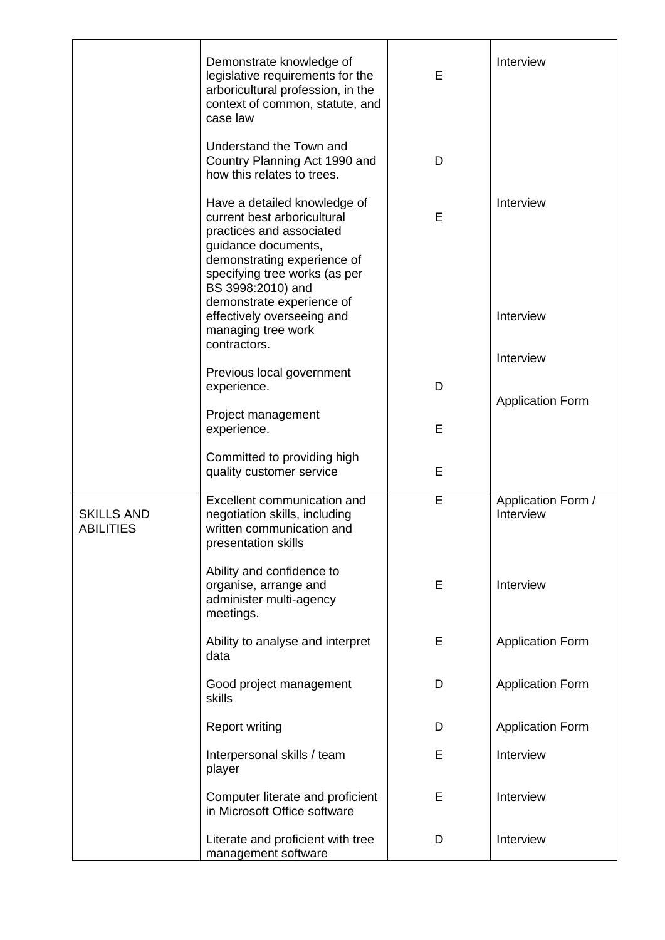|                                       | Demonstrate knowledge of<br>legislative requirements for the<br>arboricultural profession, in the<br>context of common, statute, and<br>case law                                                                                 | E | Interview                       |
|---------------------------------------|----------------------------------------------------------------------------------------------------------------------------------------------------------------------------------------------------------------------------------|---|---------------------------------|
|                                       | Understand the Town and<br>Country Planning Act 1990 and<br>how this relates to trees.                                                                                                                                           | D |                                 |
|                                       | Have a detailed knowledge of<br>current best arboricultural<br>practices and associated<br>guidance documents,<br>demonstrating experience of<br>specifying tree works (as per<br>BS 3998:2010) and<br>demonstrate experience of | E | Interview                       |
|                                       | effectively overseeing and<br>managing tree work                                                                                                                                                                                 |   | Interview                       |
|                                       | contractors.<br>Previous local government                                                                                                                                                                                        |   | Interview                       |
|                                       | experience.<br>Project management                                                                                                                                                                                                | D | <b>Application Form</b>         |
|                                       | experience.                                                                                                                                                                                                                      | E |                                 |
|                                       | Committed to providing high<br>quality customer service                                                                                                                                                                          | E |                                 |
| <b>SKILLS AND</b><br><b>ABILITIES</b> | Excellent communication and<br>negotiation skills, including<br>written communication and<br>presentation skills                                                                                                                 | E | Application Form /<br>Interview |
|                                       | Ability and confidence to<br>organise, arrange and<br>administer multi-agency<br>meetings.                                                                                                                                       | E | Interview                       |
|                                       | Ability to analyse and interpret<br>data                                                                                                                                                                                         | Е | <b>Application Form</b>         |
|                                       | Good project management<br>skills                                                                                                                                                                                                | D | <b>Application Form</b>         |
|                                       | <b>Report writing</b>                                                                                                                                                                                                            | D | <b>Application Form</b>         |
|                                       | Interpersonal skills / team<br>player                                                                                                                                                                                            | Е | Interview                       |
|                                       | Computer literate and proficient<br>in Microsoft Office software                                                                                                                                                                 | E | Interview                       |
|                                       | Literate and proficient with tree<br>management software                                                                                                                                                                         | D | Interview                       |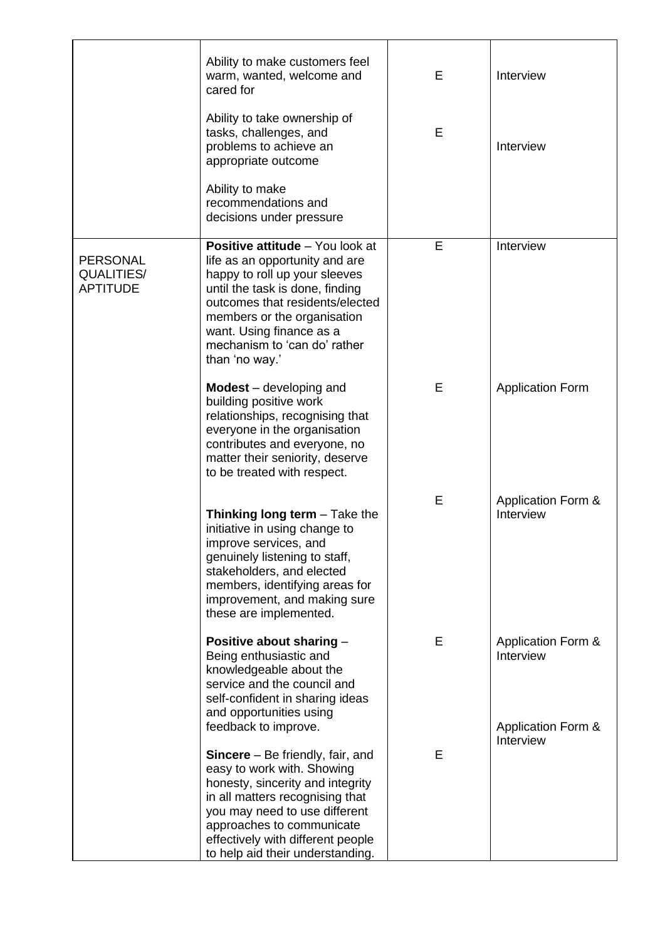|                                                  | Ability to make customers feel<br>warm, wanted, welcome and<br>cared for                                                                                                                                                                                                                                    | E | Interview                       |
|--------------------------------------------------|-------------------------------------------------------------------------------------------------------------------------------------------------------------------------------------------------------------------------------------------------------------------------------------------------------------|---|---------------------------------|
|                                                  | Ability to take ownership of<br>tasks, challenges, and<br>problems to achieve an<br>appropriate outcome                                                                                                                                                                                                     | E | Interview                       |
|                                                  | Ability to make<br>recommendations and<br>decisions under pressure                                                                                                                                                                                                                                          |   |                                 |
| <b>PERSONAL</b><br>QUALITIES/<br><b>APTITUDE</b> | <b>Positive attitude</b> - You look at<br>life as an opportunity and are<br>happy to roll up your sleeves<br>until the task is done, finding<br>outcomes that residents/elected<br>members or the organisation<br>want. Using finance as a<br>mechanism to 'can do' rather<br>than 'no way.'                | E | Interview                       |
|                                                  | $Models – developing and$<br>building positive work<br>relationships, recognising that<br>everyone in the organisation<br>contributes and everyone, no<br>matter their seniority, deserve<br>to be treated with respect.                                                                                    | E | <b>Application Form</b>         |
|                                                  | Thinking long term $-$ Take the<br>initiative in using change to<br>improve services, and<br>genuinely listening to staff,<br>stakeholders, and elected<br>members, identifying areas for<br>improvement, and making sure<br>these are implemented.                                                         | E | Application Form &<br>Interview |
|                                                  | Positive about sharing -<br>Being enthusiastic and<br>knowledgeable about the<br>service and the council and<br>self-confident in sharing ideas<br>and opportunities using                                                                                                                                  | E | Application Form &<br>Interview |
|                                                  | feedback to improve.<br><b>Sincere</b> – Be friendly, fair, and<br>easy to work with. Showing<br>honesty, sincerity and integrity<br>in all matters recognising that<br>you may need to use different<br>approaches to communicate<br>effectively with different people<br>to help aid their understanding. | E | Application Form &<br>Interview |